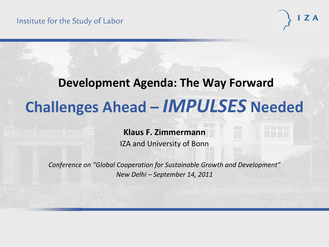# **Development Agenda: The Way Forward Challenges Ahead –** *IMPULSES* **Needed**

#### **Klaus F. Zimmermann**

IZA and University of Bonn

*Conference on "Global Cooperation for Sustainable Growth and Development" New Delhi – September 14, 2011*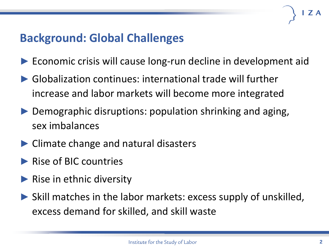#### **Background: Global Challenges**

- ► Economic crisis will cause long-run decline in development aid
- ▶ Globalization continues: international trade will further increase and labor markets will become more integrated
- ► Demographic disruptions: population shrinking and aging, sex imbalances
- ► Climate change and natural disasters
- ▶ Rise of BIC countries
- ▶ Rise in ethnic diversity
- ► Skill matches in the labor markets: excess supply of unskilled, excess demand for skilled, and skill waste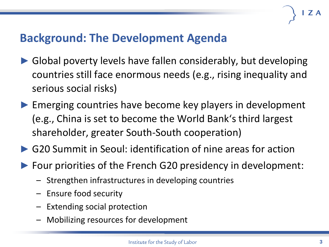### **Background: The Development Agenda**

- Global poverty levels have fallen considerably, but developing countries still face enormous needs (e.g., rising inequality and serious social risks)
- ► Emerging countries have become key players in development (e.g., China is set to become the World Bank's third largest shareholder, greater South-South cooperation)
- ▶ G20 Summit in Seoul: identification of nine areas for action
- ► Four priorities of the French G20 presidency in development:
	- Strengthen infrastructures in developing countries
	- Ensure food security
	- Extending social protection
	- Mobilizing resources for development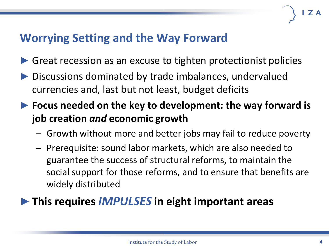### **Worrying Setting and the Way Forward**

- ► Great recession as an excuse to tighten protectionist policies
- Discussions dominated by trade imbalances, undervalued currencies and, last but not least, budget deficits
- ► **Focus needed on the key to development: the way forward is job creation** *and* **economic growth**
	- Growth without more and better jobs may fail to reduce poverty
	- Prerequisite: sound labor markets, which are also needed to guarantee the success of structural reforms, to maintain the social support for those reforms, and to ensure that benefits are widely distributed

#### ►**This requires** *IMPULSES* **in eight important areas**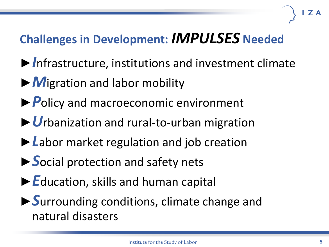## **Challenges in Development:** *IMPULSES* **Needed**

- ►*I*nfrastructure, institutions and investment climate
- ►*M*igration and labor mobility
- ►*P*olicy and macroeconomic environment
- ►*U*rbanization and rural-to-urban migration
- ►*L*abor market regulation and job creation
- ►*S*ocial protection and safety nets
- ►*E*ducation, skills and human capital
- ►*S*urrounding conditions, climate change and natural disasters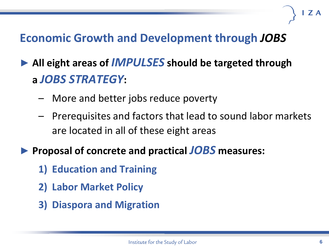### **Economic Growth and Development through** *JOBS*

- ► **All eight areas of** *IMPULSES* **should be targeted through a** *JOBS STRATEGY***:**
	- More and better jobs reduce poverty
	- Prerequisites and factors that lead to sound labor markets are located in all of these eight areas
- ► **Proposal of concrete and practical** *JOBS* **measures:**
	- **1) Education and Training**
	- **2) Labor Market Policy**
	- **3) Diaspora and Migration**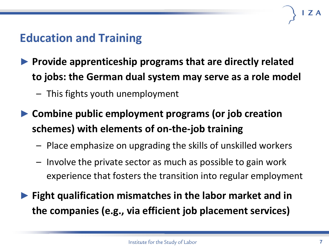#### **Education and Training**

- ► **Provide apprenticeship programs that are directly related to jobs: the German dual system may serve as a role model**
	- This fights youth unemployment
- ► **Combine public employment programs (or job creation schemes) with elements of on-the-job training**
	- Place emphasize on upgrading the skills of unskilled workers
	- Involve the private sector as much as possible to gain work experience that fosters the transition into regular employment
- **Fight qualification mismatches in the labor market and in the companies (e.g., via efficient job placement services)**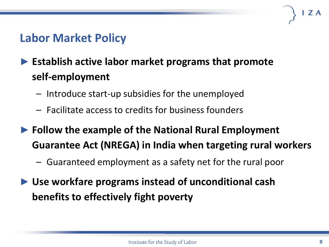#### **Labor Market Policy**

### ► **Establish active labor market programs that promote self-employment**

- Introduce start-up subsidies for the unemployed
- Facilitate access to credits for business founders
- ► **Follow the example of the National Rural Employment Guarantee Act (NREGA) in India when targeting rural workers**
	- Guaranteed employment as a safety net for the rural poor
- ► **Use workfare programs instead of unconditional cash benefits to effectively fight poverty**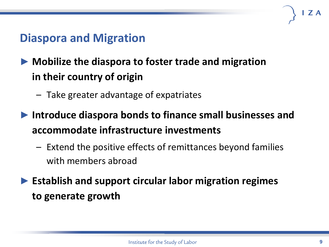#### **Diaspora and Migration**

#### ► **Mobilize the diaspora to foster trade and migration in their country of origin**

- Take greater advantage of expatriates
- ► **Introduce diaspora bonds to finance small businesses and accommodate infrastructure investments**
	- Extend the positive effects of remittances beyond families with members abroad
- ► **Establish and support circular labor migration regimes to generate growth**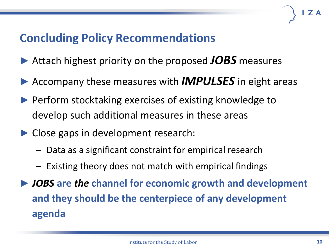### **Concluding Policy Recommendations**

- ► Attach highest priority on the proposed *JOBS* measures
- ► Accompany these measures with *IMPULSES* in eight areas
- ► Perform stocktaking exercises of existing knowledge to develop such additional measures in these areas
- ► Close gaps in development research:
	- Data as a significant constraint for empirical research
	- Existing theory does not match with empirical findings
- ► *JOBS* **are** *the* **channel for economic growth and development and they should be the centerpiece of any development agenda**